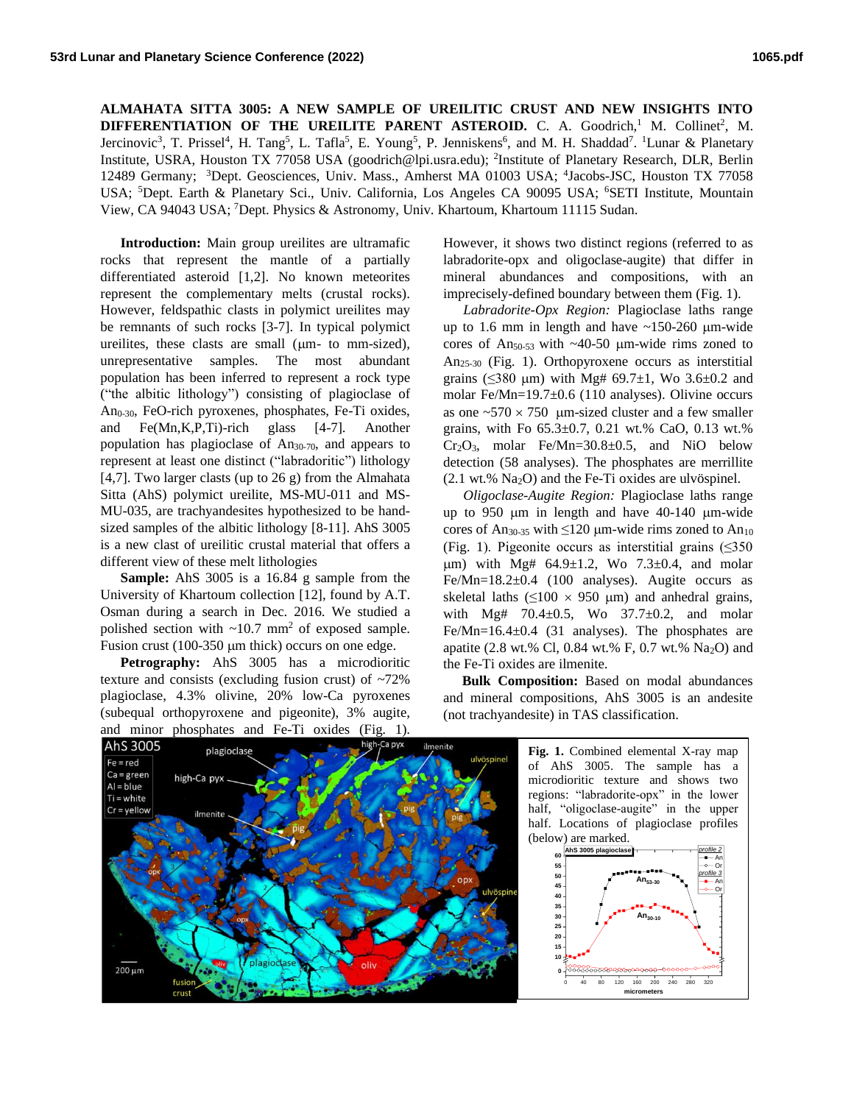**ALMAHATA SITTA 3005: A NEW SAMPLE OF UREILITIC CRUST AND NEW INSIGHTS INTO**  DIFFERENTIATION OF THE UREILITE PARENT ASTEROID. C. A. Goodrich,<sup>1</sup> M. Collinet<sup>2</sup>, M. Jercinovic<sup>3</sup>, T. Prissel<sup>4</sup>, H. Tang<sup>5</sup>, L. Tafla<sup>5</sup>, E. Young<sup>5</sup>, P. Jenniskens<sup>6</sup>, and M. H. Shaddad<sup>7</sup>. <sup>1</sup>Lunar & Planetary Institute, USRA, Houston TX 77058 USA (goodrich@lpi.usra.edu); <sup>2</sup>Institute of Planetary Research, DLR, Berlin 12489 Germany; <sup>3</sup>Dept. Geosciences, Univ. Mass., Amherst MA 01003 USA; <sup>4</sup>Jacobs-JSC, Houston TX 77058 USA; <sup>5</sup>Dept. Earth & Planetary Sci., Univ. California, Los Angeles CA 90095 USA; <sup>6</sup>SETI Institute, Mountain View, CA 94043 USA; <sup>7</sup>Dept. Physics & Astronomy, Univ. Khartoum, Khartoum 11115 Sudan.

**Introduction:** Main group ureilites are ultramafic rocks that represent the mantle of a partially differentiated asteroid [1,2]. No known meteorites represent the complementary melts (crustal rocks). However, feldspathic clasts in polymict ureilites may be remnants of such rocks [3-7]. In typical polymict ureilites, these clasts are small ( $\mu$ m- to mm-sized), unrepresentative samples. The most abundant population has been inferred to represent a rock type ("the albitic lithology") consisting of plagioclase of An0-30, FeO-rich pyroxenes, phosphates, Fe-Ti oxides, and Fe(Mn,K,P,Ti)-rich glass [4-7]. Another population has plagioclase of  $An_{30-70}$ , and appears to represent at least one distinct ("labradoritic") lithology [4,7]. Two larger clasts (up to  $26 \text{ g}$ ) from the Almahata Sitta (AhS) polymict ureilite, MS-MU-011 and MS-MU-035, are trachyandesites hypothesized to be handsized samples of the albitic lithology [8-11]. AhS 3005 is a new clast of ureilitic crustal material that offers a different view of these melt lithologies

**Sample:** AhS 3005 is a 16.84 g sample from the University of Khartoum collection [12], found by A.T. Osman during a search in Dec. 2016. We studied a polished section with  $\sim 10.7$  mm<sup>2</sup> of exposed sample. Fusion crust  $(100-350 \mu m)$  thick) occurs on one edge.

**Petrography:** AhS 3005 has a microdioritic texture and consists (excluding fusion crust) of ~72% plagioclase, 4.3% olivine, 20% low-Ca pyroxenes (subequal orthopyroxene and pigeonite), 3% augite, and minor phosphates and Fe-Ti oxides (Fig. 1).

However, it shows two distinct regions (referred to as labradorite-opx and oligoclase-augite) that differ in mineral abundances and compositions, with an imprecisely-defined boundary between them (Fig. 1).

*Labradorite-Opx Region:* Plagioclase laths range up to 1.6 mm in length and have  $\sim$ 150-260 µm-wide cores of An<sub>50-53</sub> with  $\sim$ 40-50 µm-wide rims zoned to An25-30 (Fig. 1). Orthopyroxene occurs as interstitial grains (≤380 μm) with Mg# 69.7 $±1$ , Wo 3.6 $±0.2$  and molar Fe/Mn=19.7±0.6 (110 analyses). Olivine occurs as one  $\approx 570 \times 750$  um-sized cluster and a few smaller grains, with Fo 65.3±0.7, 0.21 wt.% CaO, 0.13 wt.%  $Cr_2O_3$ , molar Fe/Mn=30.8 $\pm$ 0.5, and NiO below detection (58 analyses). The phosphates are merrillite  $(2.1 \text{ wt.}\% \text{ Na}_2\text{O})$  and the Fe-Ti oxides are ulvöspinel.

*Oligoclase-Augite Region:* Plagioclase laths range up to 950 µm in length and have 40-140 µm-wide cores of An<sub>30-35</sub> with  $\leq 120$  µm-wide rims zoned to An<sub>10</sub> (Fig. 1). Pigeonite occurs as interstitial grains  $(\leq 350)$  $\mu$ m) with Mg# 64.9 $\pm$ 1.2, Wo 7.3 $\pm$ 0.4, and molar Fe/Mn=18.2±0.4 (100 analyses). Augite occurs as skeletal laths  $(≤100 \times 950 \mu m)$  and anhedral grains, with Mg# 70.4 $\pm$ 0.5, Wo 37.7 $\pm$ 0.2, and molar Fe/Mn=16.4±0.4 (31 analyses). The phosphates are apatite (2.8 wt.% Cl, 0.84 wt.% F, 0.7 wt.% Na<sub>2</sub>O) and the Fe-Ti oxides are ilmenite.

**Bulk Composition:** Based on modal abundances and mineral compositions, AhS 3005 is an andesite (not trachyandesite) in TAS classification.